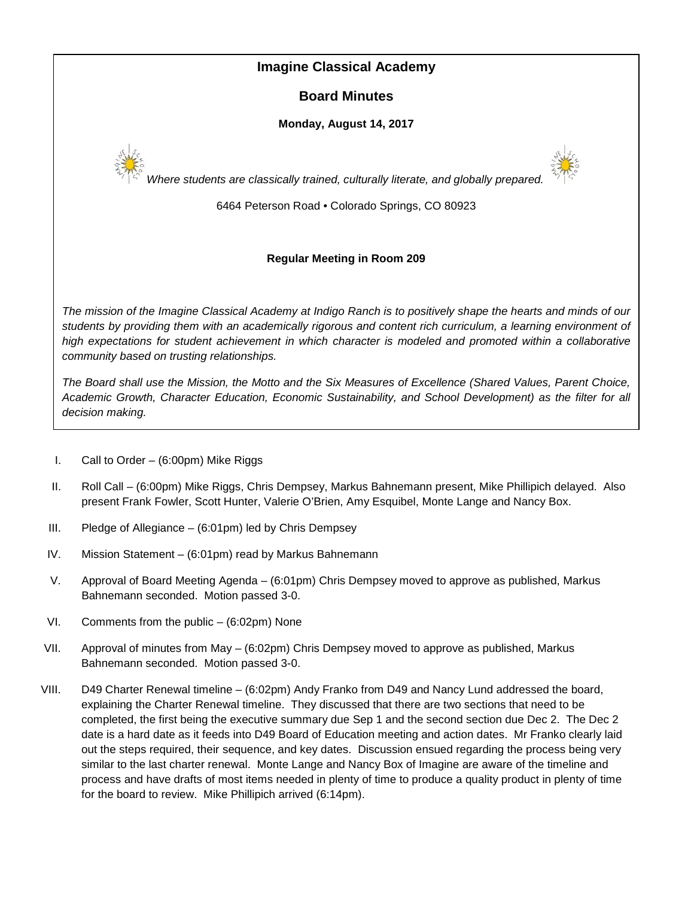# **Imagine Classical Academy**

# **Board Minutes**

## **Monday, August 14, 2017**





*Where students are classically trained, culturally literate, and globally prepared.*

6464 Peterson Road • Colorado Springs, CO 80923

# **Regular Meeting in Room 209**

*The mission of the Imagine Classical Academy at Indigo Ranch is to positively shape the hearts and minds of our students by providing them with an academically rigorous and content rich curriculum, a learning environment of high expectations for student achievement in which character is modeled and promoted within a collaborative community based on trusting relationships.*

*The Board shall use the Mission, the Motto and the Six Measures of Excellence (Shared Values, Parent Choice, Academic Growth, Character Education, Economic Sustainability, and School Development) as the filter for all decision making.*

- I. Call to Order (6:00pm) Mike Riggs
- II. Roll Call (6:00pm) Mike Riggs, Chris Dempsey, Markus Bahnemann present, Mike Phillipich delayed. Also present Frank Fowler, Scott Hunter, Valerie O'Brien, Amy Esquibel, Monte Lange and Nancy Box.
- III. Pledge of Allegiance (6:01pm) led by Chris Dempsey
- IV. Mission Statement (6:01pm) read by Markus Bahnemann
- V. Approval of Board Meeting Agenda (6:01pm) Chris Dempsey moved to approve as published, Markus Bahnemann seconded. Motion passed 3-0.
- VI. Comments from the public (6:02pm) None
- VII. Approval of minutes from May (6:02pm) Chris Dempsey moved to approve as published, Markus Bahnemann seconded. Motion passed 3-0.
- VIII. D49 Charter Renewal timeline (6:02pm) Andy Franko from D49 and Nancy Lund addressed the board, explaining the Charter Renewal timeline. They discussed that there are two sections that need to be completed, the first being the executive summary due Sep 1 and the second section due Dec 2. The Dec 2 date is a hard date as it feeds into D49 Board of Education meeting and action dates. Mr Franko clearly laid out the steps required, their sequence, and key dates. Discussion ensued regarding the process being very similar to the last charter renewal. Monte Lange and Nancy Box of Imagine are aware of the timeline and process and have drafts of most items needed in plenty of time to produce a quality product in plenty of time for the board to review. Mike Phillipich arrived (6:14pm).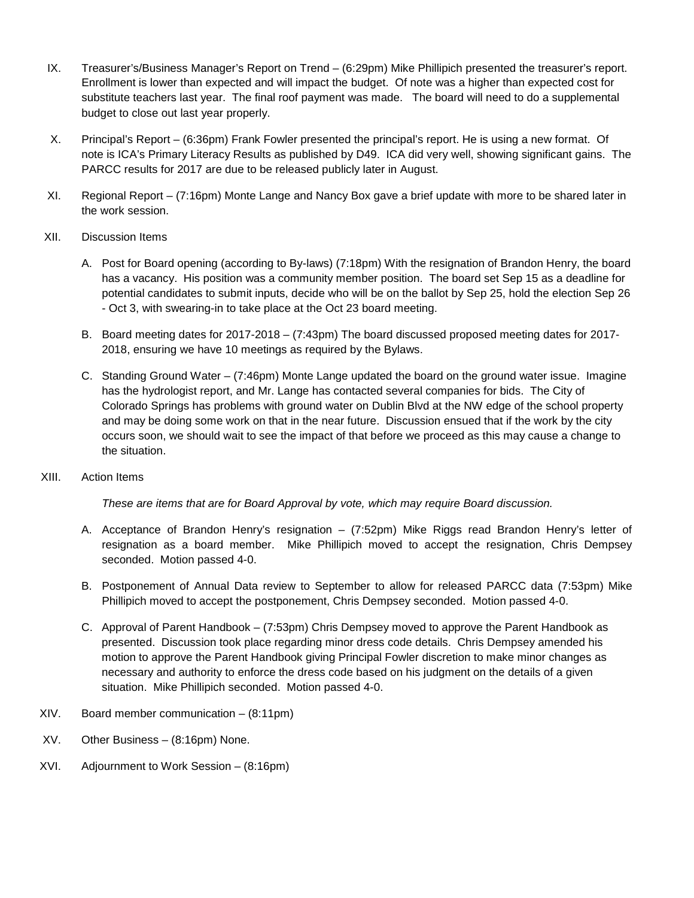- IX. Treasurer's/Business Manager's Report on Trend (6:29pm) Mike Phillipich presented the treasurer's report. Enrollment is lower than expected and will impact the budget. Of note was a higher than expected cost for substitute teachers last year. The final roof payment was made. The board will need to do a supplemental budget to close out last year properly.
- X. Principal's Report (6:36pm) Frank Fowler presented the principal's report. He is using a new format. Of note is ICA's Primary Literacy Results as published by D49. ICA did very well, showing significant gains. The PARCC results for 2017 are due to be released publicly later in August.
- XI. Regional Report (7:16pm) Monte Lange and Nancy Box gave a brief update with more to be shared later in the work session.
- XII. Discussion Items
	- A. Post for Board opening (according to By-laws) (7:18pm) With the resignation of Brandon Henry, the board has a vacancy. His position was a community member position. The board set Sep 15 as a deadline for potential candidates to submit inputs, decide who will be on the ballot by Sep 25, hold the election Sep 26 - Oct 3, with swearing-in to take place at the Oct 23 board meeting.
	- B. Board meeting dates for 2017-2018 (7:43pm) The board discussed proposed meeting dates for 2017- 2018, ensuring we have 10 meetings as required by the Bylaws.
	- C. Standing Ground Water (7:46pm) Monte Lange updated the board on the ground water issue. Imagine has the hydrologist report, and Mr. Lange has contacted several companies for bids. The City of Colorado Springs has problems with ground water on Dublin Blvd at the NW edge of the school property and may be doing some work on that in the near future. Discussion ensued that if the work by the city occurs soon, we should wait to see the impact of that before we proceed as this may cause a change to the situation.
- XIII. Action Items

*These are items that are for Board Approval by vote, which may require Board discussion.*

- A. Acceptance of Brandon Henry's resignation (7:52pm) Mike Riggs read Brandon Henry's letter of resignation as a board member. Mike Phillipich moved to accept the resignation, Chris Dempsey seconded. Motion passed 4-0.
- B. Postponement of Annual Data review to September to allow for released PARCC data (7:53pm) Mike Phillipich moved to accept the postponement, Chris Dempsey seconded. Motion passed 4-0.
- C. Approval of Parent Handbook (7:53pm) Chris Dempsey moved to approve the Parent Handbook as presented. Discussion took place regarding minor dress code details. Chris Dempsey amended his motion to approve the Parent Handbook giving Principal Fowler discretion to make minor changes as necessary and authority to enforce the dress code based on his judgment on the details of a given situation. Mike Phillipich seconded. Motion passed 4-0.
- XIV. Board member communication (8:11pm)
- XV. Other Business (8:16pm) None.
- XVI. Adjournment to Work Session (8:16pm)